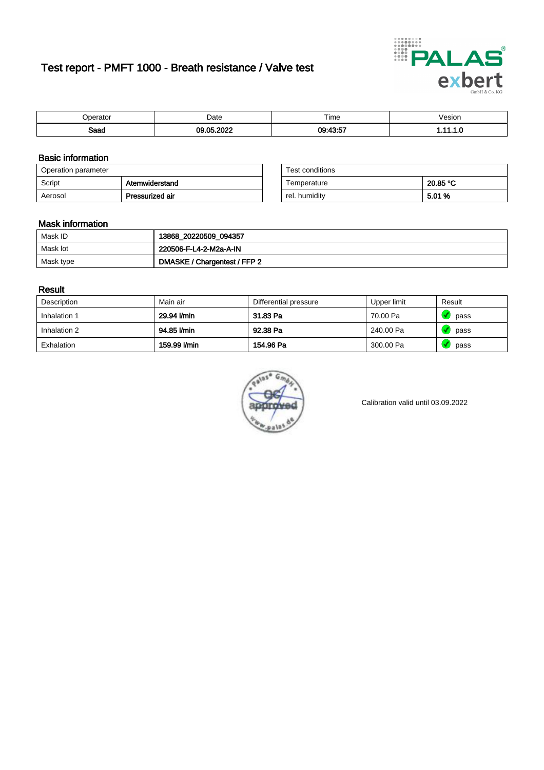# Test report - PMFT 1000 - Breath resistance / Valve test



| `nerator     | Date        | Time     | 'esıon<br>. |
|--------------|-------------|----------|-------------|
| Soon<br>oaau | 0.000<br>ΛE | 09.43.57 | . .         |

### Basic information

| Operation parameter |                 | Test conditions |          |
|---------------------|-----------------|-----------------|----------|
| Script              | Atemwiderstand  | Temperature     | 20.85 °C |
| Aerosol             | Pressurized air | rel. humidity   | 5.01 %   |

| Test conditions |          |
|-----------------|----------|
| Temperature     | 20.85 °C |
| rel. humidity   | 5.01 %   |

#### Mask information

| Mask ID   | 13868_20220509_094357        |
|-----------|------------------------------|
| Mask lot  | 220506-F-L4-2-M2a-A-IN       |
| Mask type | DMASKE / Chargentest / FFP 2 |

### Result

| Description  | Main air     | Differential pressure | Upper limit | Result |
|--------------|--------------|-----------------------|-------------|--------|
| Inhalation 1 | 29.94 l/min  | 31.83 Pa              | 70.00 Pa    | pass   |
| Inhalation 2 | 94.85 l/min  | 92.38 Pa              | 240.00 Pa   | pass   |
| Exhalation   | 159.99 l/min | 154.96 Pa             | 300.00 Pa   | pass   |



Calibration valid until 03.09.2022